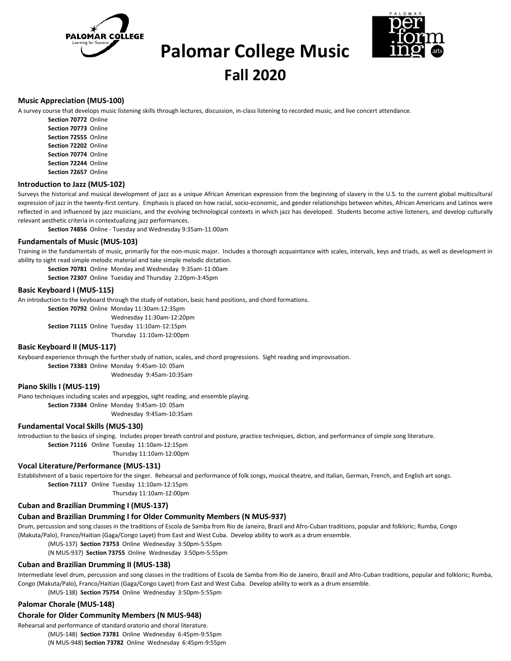

# **PALOMAR COLLEGE**<br> **Palomar College Music Fall 2020**



#### **Music Appreciation (MUS-100)**

A survey course that develops music listening skills through lectures, discussion, in-class listening to recorded music, and live concert attendance.

**Section 70772** Online **Section 70773** Online **Section 72555** Online **Section 72202** Online **Section 70774** Online **Section 72244** Online **Section 72657** Online

#### **Introduction to Jazz (MUS-102)**

Surveys the historical and musical development of jazz as a unique African American expression from the beginning of slavery in the U.S. to the current global multicultural expression of jazz in the twenty-first century. Emphasis is placed on how racial, socio-economic, and gender relationships between whites, African Americans and Latinos were reflected in and influenced by jazz musicians, and the evolving technological contexts in which jazz has developed. Students become active listeners, and develop culturally relevant aesthetic criteria in contextualizing jazz performances.

**Section 74856** Online - Tuesday and Wednesday 9:35am-11:00am

#### **Fundamentals of Music (MUS-103)**

Training in the fundamentals of music, primarily for the non-music major. Includes a thorough acquaintance with scales, intervals, keys and triads, as well as development in ability to sight read simple melodic material and take simple melodic dictation.

**Section 70781** Online Monday and Wednesday 9:35am-11:00am

**Section 72307** Online Tuesday and Thursday 2:20pm-3:45pm

#### **Basic Keyboard I (MUS-115)**

An introduction to the keyboard through the study of notation, basic hand positions, and chord formations.

**Section 70792** Online Monday 11:30am-12:35pm

 Wednesday 11:30am-12:20pm **Section 71115** Online Tuesday 11:10am-12:15pm

Thursday 11:10am-12:00pm

#### **Basic Keyboard II (MUS-117)**

Keyboard experience through the further study of nation, scales, and chord progressions. Sight reading and improvisation.

**Section 73383** Online Monday 9:45am-10: 05am

Wednesday 9:45am-10:35am

#### **Piano Skills I (MUS-119)**

Piano techniques including scales and arpeggios, sight reading, and ensemble playing. **Section 73384** Online Monday 9:45am-10: 05am Wednesday 9:45am-10:35am

#### **Fundamental Vocal Skills (MUS-130)**

Introduction to the basics of singing. Includes proper breath control and posture, practice techniques, diction, and performance of simple song literature. **Section 71116** Online Tuesday 11:10am-12:15pm Thursday 11:10am-12:00pm

#### **Vocal Literature/Performance (MUS-131)**

Establishment of a basic repertoire for the singer. Rehearsal and performance of folk songs, musical theatre, and Italian, German, French, and English art songs. **Section 71117** Online Tuesday 11:10am-12:15pm Thursday 11:10am-12:00pm

#### **Cuban and Brazilian Drumming I (MUS-137)**

## **Cuban and Brazilian Drumming I for Older Community Members (N MUS-937)**

Drum, percussion and song classes in the traditions of Escola de Samba from Rio de Janeiro, Brazil and Afro-Cuban traditions, popular and folkloric; Rumba, Congo (Makuta/Palo), Franco/Haitian (Gaga/Congo Layet) from East and West Cuba. Develop ability to work as a drum ensemble.

(MUS-137) **Section 73753** Online Wednesday 3:50pm-5:55pm

(N MUS-937) **Section 73755** Online Wednesday 3:50pm-5:55pm

## **Cuban and Brazilian Drumming II (MUS-138)**

Intermediate level drum, percussion and song classes in the traditions of Escola de Samba from Rio de Janeiro, Brazil and Afro-Cuban traditions, popular and folkloric; Rumba, Congo (Makuta/Palo), Franco/Haitian (Gaga/Congo Layet) from East and West Cuba. Develop ability to work as a drum ensemble.

(MUS-138) **Section 75754** Online Wednesday 3:50pm-5:55pm

# **Palomar Chorale (MUS-148)**

# **Chorale for Older Community Members (N MUS-948)**

Rehearsal and performance of standard oratorio and choral literature. (MUS-148) **Section 73781** Online Wednesday 6:45pm-9:55pm (N MUS-948) **Section 73782** Online Wednesday 6:45pm-9:55pm